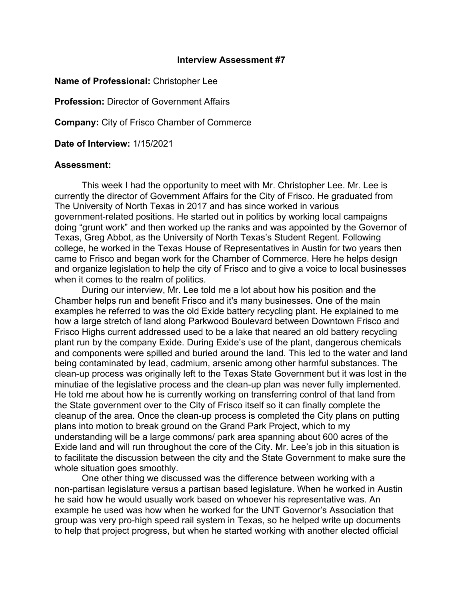## **Interview Assessment #7**

**Name of Professional:** Christopher Lee

**Profession:** Director of Government Affairs

**Company:** City of Frisco Chamber of Commerce

**Date of Interview:** 1/15/2021

## **Assessment:**

This week I had the opportunity to meet with Mr. Christopher Lee. Mr. Lee is currently the director of Government Affairs for the City of Frisco. He graduated from The University of North Texas in 2017 and has since worked in various government-related positions. He started out in politics by working local campaigns doing "grunt work" and then worked up the ranks and was appointed by the Governor of Texas, Greg Abbot, as the University of North Texas's Student Regent. Following college, he worked in the Texas House of Representatives in Austin for two years then came to Frisco and began work for the Chamber of Commerce. Here he helps design and organize legislation to help the city of Frisco and to give a voice to local businesses when it comes to the realm of politics.

During our interview, Mr. Lee told me a lot about how his position and the Chamber helps run and benefit Frisco and it's many businesses. One of the main examples he referred to was the old Exide battery recycling plant. He explained to me how a large stretch of land along Parkwood Boulevard between Downtown Frisco and Frisco Highs current addressed used to be a lake that neared an old battery recycling plant run by the company Exide. During Exide's use of the plant, dangerous chemicals and components were spilled and buried around the land. This led to the water and land being contaminated by lead, cadmium, arsenic among other harmful substances. The clean-up process was originally left to the Texas State Government but it was lost in the minutiae of the legislative process and the clean-up plan was never fully implemented. He told me about how he is currently working on transferring control of that land from the State government over to the City of Frisco itself so it can finally complete the cleanup of the area. Once the clean-up process is completed the City plans on putting plans into motion to break ground on the Grand Park Project, which to my understanding will be a large commons/ park area spanning about 600 acres of the Exide land and will run throughout the core of the City. Mr. Lee's job in this situation is to facilitate the discussion between the city and the State Government to make sure the whole situation goes smoothly.

One other thing we discussed was the difference between working with a non-partisan legislature versus a partisan based legislature. When he worked in Austin he said how he would usually work based on whoever his representative was. An example he used was how when he worked for the UNT Governor's Association that group was very pro-high speed rail system in Texas, so he helped write up documents to help that project progress, but when he started working with another elected official